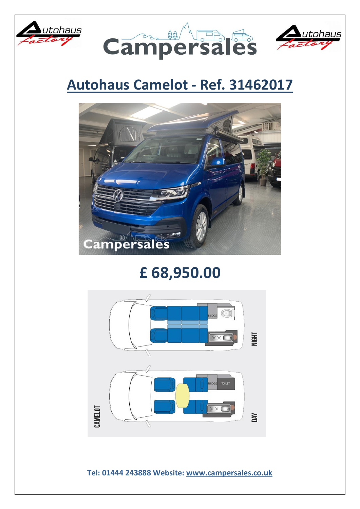





## **Autohaus Camelot - Ref. 31462017**



## **£ 68,950.00**



**Tel: 01444 243888 Website: [www.campersales.co.uk](http://www.campersales.co.uk/)**